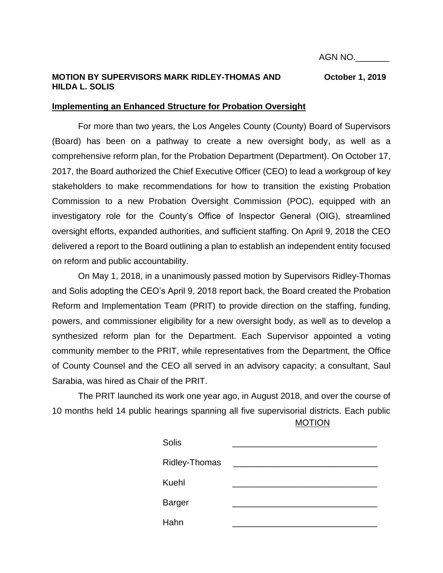AGN NO.\_\_\_\_\_\_\_

# **MOTION BY SUPERVISORS MARK RIDLEY-THOMAS AND October 1, 2019 HILDA L. SOLIS**

## **Implementing an Enhanced Structure for Probation Oversight**

For more than two years, the Los Angeles County (County) Board of Supervisors (Board) has been on a pathway to create a new oversight body, as well as a comprehensive reform plan, for the Probation Department (Department). On October 17, 2017, the Board authorized the Chief Executive Officer (CEO) to lead a workgroup of key stakeholders to make recommendations for how to transition the existing Probation Commission to a new Probation Oversight Commission (POC), equipped with an investigatory role for the County's Office of Inspector General (OIG), streamlined oversight efforts, expanded authorities, and sufficient staffing. On April 9, 2018 the CEO delivered a report to the Board outlining a plan to establish an independent entity focused on reform and public accountability.

On May 1, 2018, in a unanimously passed motion by Supervisors Ridley-Thomas and Solis adopting the CEO's April 9, 2018 report back, the Board created the Probation Reform and Implementation Team (PRIT) to provide direction on the staffing, funding, powers, and commissioner eligibility for a new oversight body, as well as to develop a synthesized reform plan for the Department. Each Supervisor appointed a voting community member to the PRIT, while representatives from the Department, the Office of County Counsel and the CEO all served in an advisory capacity; a consultant, Saul Sarabia, was hired as Chair of the PRIT.

MOTION The PRIT launched its work one year ago, in August 2018, and over the course of 10 months held 14 public hearings spanning all five supervisorial districts. Each public

| Solis                |  |
|----------------------|--|
| <b>Ridley-Thomas</b> |  |
| Kuehl                |  |
| <b>Barger</b>        |  |
| Hahn                 |  |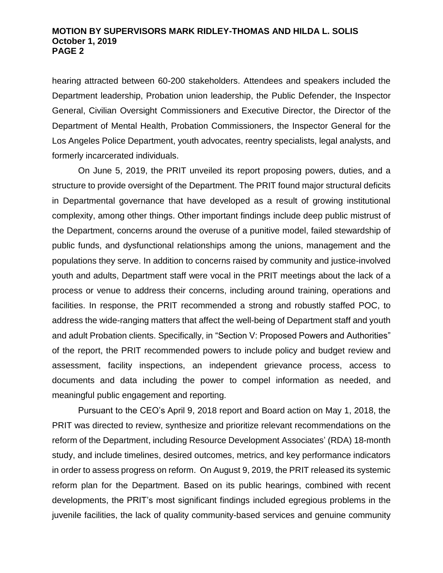hearing attracted between 60-200 stakeholders. Attendees and speakers included the Department leadership, Probation union leadership, the Public Defender, the Inspector General, Civilian Oversight Commissioners and Executive Director, the Director of the Department of Mental Health, Probation Commissioners, the Inspector General for the Los Angeles Police Department, youth advocates, reentry specialists, legal analysts, and formerly incarcerated individuals.

On June 5, 2019, the PRIT unveiled its report proposing powers, duties, and a structure to provide oversight of the Department. The PRIT found major structural deficits in Departmental governance that have developed as a result of growing institutional complexity, among other things. Other important findings include deep public mistrust of the Department, concerns around the overuse of a punitive model, failed stewardship of public funds, and dysfunctional relationships among the unions, management and the populations they serve. In addition to concerns raised by community and justice-involved youth and adults, Department staff were vocal in the PRIT meetings about the lack of a process or venue to address their concerns, including around training, operations and facilities. In response, the PRIT recommended a strong and robustly staffed POC, to address the wide-ranging matters that affect the well-being of Department staff and youth and adult Probation clients. Specifically, in "Section V: Proposed Powers and Authorities" of the report, the PRIT recommended powers to include policy and budget review and assessment, facility inspections, an independent grievance process, access to documents and data including the power to compel information as needed, and meaningful public engagement and reporting.

Pursuant to the CEO's April 9, 2018 report and Board action on May 1, 2018, the PRIT was directed to review, synthesize and prioritize relevant recommendations on the reform of the Department, including Resource Development Associates' (RDA) 18-month study, and include timelines, desired outcomes, metrics, and key performance indicators in order to assess progress on reform. On August 9, 2019, the PRIT released its systemic reform plan for the Department. Based on its public hearings, combined with recent developments, the PRIT's most significant findings included egregious problems in the juvenile facilities, the lack of quality community-based services and genuine community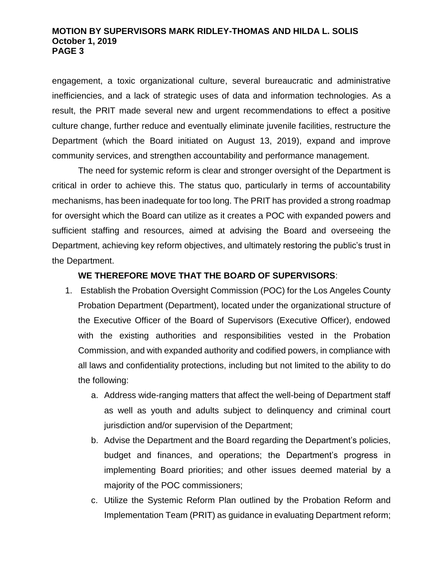engagement, a toxic organizational culture, several bureaucratic and administrative inefficiencies, and a lack of strategic uses of data and information technologies. As a result, the PRIT made several new and urgent recommendations to effect a positive culture change, further reduce and eventually eliminate juvenile facilities, restructure the Department (which the Board initiated on August 13, 2019), expand and improve community services, and strengthen accountability and performance management.

The need for systemic reform is clear and stronger oversight of the Department is critical in order to achieve this. The status quo, particularly in terms of accountability mechanisms, has been inadequate for too long. The PRIT has provided a strong roadmap for oversight which the Board can utilize as it creates a POC with expanded powers and sufficient staffing and resources, aimed at advising the Board and overseeing the Department, achieving key reform objectives, and ultimately restoring the public's trust in the Department.

# **WE THEREFORE MOVE THAT THE BOARD OF SUPERVISORS**:

- 1. Establish the Probation Oversight Commission (POC) for the Los Angeles County Probation Department (Department), located under the organizational structure of the Executive Officer of the Board of Supervisors (Executive Officer), endowed with the existing authorities and responsibilities vested in the Probation Commission, and with expanded authority and codified powers, in compliance with all laws and confidentiality protections, including but not limited to the ability to do the following:
	- a. Address wide-ranging matters that affect the well-being of Department staff as well as youth and adults subject to delinquency and criminal court jurisdiction and/or supervision of the Department;
	- b. Advise the Department and the Board regarding the Department's policies, budget and finances, and operations; the Department's progress in implementing Board priorities; and other issues deemed material by a majority of the POC commissioners;
	- c. Utilize the Systemic Reform Plan outlined by the Probation Reform and Implementation Team (PRIT) as guidance in evaluating Department reform;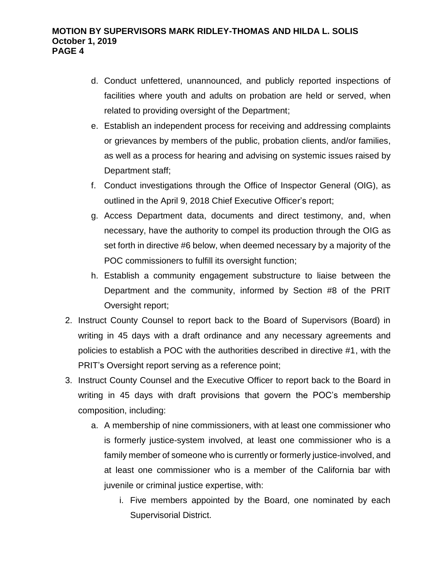- d. Conduct unfettered, unannounced, and publicly reported inspections of facilities where youth and adults on probation are held or served, when related to providing oversight of the Department;
- e. Establish an independent process for receiving and addressing complaints or grievances by members of the public, probation clients, and/or families, as well as a process for hearing and advising on systemic issues raised by Department staff;
- f. Conduct investigations through the Office of Inspector General (OIG), as outlined in the April 9, 2018 Chief Executive Officer's report;
- g. Access Department data, documents and direct testimony, and, when necessary, have the authority to compel its production through the OIG as set forth in directive #6 below, when deemed necessary by a majority of the POC commissioners to fulfill its oversight function;
- h. Establish a community engagement substructure to liaise between the Department and the community, informed by Section #8 of the PRIT Oversight report;
- 2. Instruct County Counsel to report back to the Board of Supervisors (Board) in writing in 45 days with a draft ordinance and any necessary agreements and policies to establish a POC with the authorities described in directive #1, with the PRIT's Oversight report serving as a reference point;
- 3. Instruct County Counsel and the Executive Officer to report back to the Board in writing in 45 days with draft provisions that govern the POC's membership composition, including:
	- a. A membership of nine commissioners, with at least one commissioner who is formerly justice-system involved, at least one commissioner who is a family member of someone who is currently or formerly justice-involved, and at least one commissioner who is a member of the California bar with juvenile or criminal justice expertise, with:
		- i. Five members appointed by the Board, one nominated by each Supervisorial District.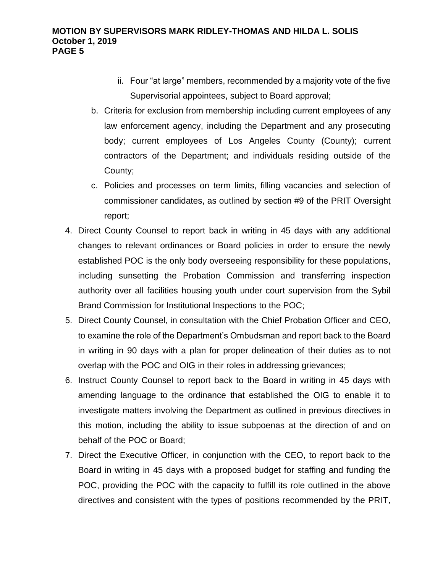- ii. Four "at large" members, recommended by a majority vote of the five Supervisorial appointees, subject to Board approval;
- b. Criteria for exclusion from membership including current employees of any law enforcement agency, including the Department and any prosecuting body; current employees of Los Angeles County (County); current contractors of the Department; and individuals residing outside of the County;
- c. Policies and processes on term limits, filling vacancies and selection of commissioner candidates, as outlined by section #9 of the PRIT Oversight report;
- 4. Direct County Counsel to report back in writing in 45 days with any additional changes to relevant ordinances or Board policies in order to ensure the newly established POC is the only body overseeing responsibility for these populations, including sunsetting the Probation Commission and transferring inspection authority over all facilities housing youth under court supervision from the Sybil Brand Commission for Institutional Inspections to the POC;
- 5. Direct County Counsel, in consultation with the Chief Probation Officer and CEO, to examine the role of the Department's Ombudsman and report back to the Board in writing in 90 days with a plan for proper delineation of their duties as to not overlap with the POC and OIG in their roles in addressing grievances;
- 6. Instruct County Counsel to report back to the Board in writing in 45 days with amending language to the ordinance that established the OIG to enable it to investigate matters involving the Department as outlined in previous directives in this motion, including the ability to issue subpoenas at the direction of and on behalf of the POC or Board;
- 7. Direct the Executive Officer, in conjunction with the CEO, to report back to the Board in writing in 45 days with a proposed budget for staffing and funding the POC, providing the POC with the capacity to fulfill its role outlined in the above directives and consistent with the types of positions recommended by the PRIT,